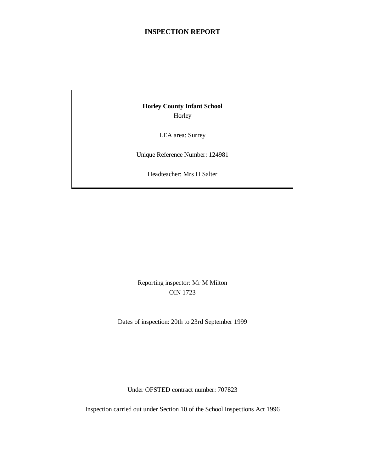# **INSPECTION REPORT**

# **Horley County Infant School** Horley

LEA area: Surrey

Unique Reference Number: 124981

Headteacher: Mrs H Salter

# Reporting inspector: Mr M Milton OIN 1723

Dates of inspection: 20th to 23rd September 1999

Under OFSTED contract number: 707823

Inspection carried out under Section 10 of the School Inspections Act 1996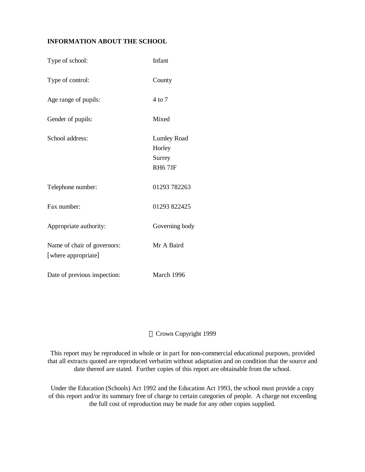# **INFORMATION ABOUT THE SCHOOL**

| Type of school:                                    | Infant                                                        |
|----------------------------------------------------|---------------------------------------------------------------|
| Type of control:                                   | County                                                        |
| Age range of pupils:                               | 4 to 7                                                        |
| Gender of pupils:                                  | Mixed                                                         |
| School address:                                    | <b>Lumley Road</b><br>Horley<br>Surrey<br>RH <sub>6</sub> 7JF |
| Telephone number:                                  | 01293 782263                                                  |
| Fax number:                                        | 01293 822425                                                  |
| Appropriate authority:                             | Governing body                                                |
| Name of chair of governors:<br>[where appropriate] | Mr A Baird                                                    |
| Date of previous inspection:                       | March 1996                                                    |

# Crown Copyright 1999

This report may be reproduced in whole or in part for non-commercial educational purposes, provided that all extracts quoted are reproduced verbatim without adaptation and on condition that the source and date thereof are stated. Further copies of this report are obtainable from the school.

Under the Education (Schools) Act 1992 and the Education Act 1993, the school must provide a copy of this report and/or its summary free of charge to certain categories of people. A charge not exceeding the full cost of reproduction may be made for any other copies supplied.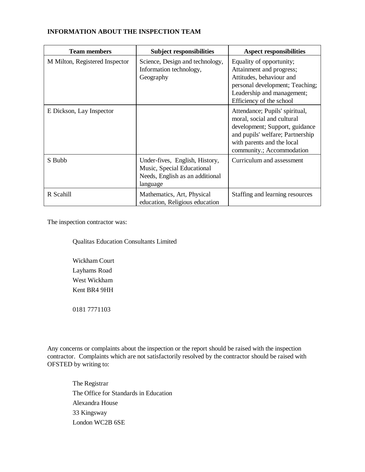| <b>Team members</b>            | <b>Subject responsibilities</b>                                                                             | <b>Aspect responsibilities</b>                                                                                                                                                                |  |
|--------------------------------|-------------------------------------------------------------------------------------------------------------|-----------------------------------------------------------------------------------------------------------------------------------------------------------------------------------------------|--|
| M Milton, Registered Inspector | Science, Design and technology,<br>Information technology,<br>Geography                                     | Equality of opportunity;<br>Attainment and progress;<br>Attitudes, behaviour and<br>personal development; Teaching;<br>Leadership and management;<br>Efficiency of the school                 |  |
| E Dickson, Lay Inspector       |                                                                                                             | Attendance; Pupils' spiritual,<br>moral, social and cultural<br>development; Support, guidance<br>and pupils' welfare; Partnership<br>with parents and the local<br>community.; Accommodation |  |
| S Bubb                         | Under-fives, English, History,<br>Music, Special Educational<br>Needs, English as an additional<br>language | Curriculum and assessment                                                                                                                                                                     |  |
| R Scahill                      | Mathematics, Art, Physical<br>education, Religious education                                                | Staffing and learning resources                                                                                                                                                               |  |

#### **INFORMATION ABOUT THE INSPECTION TEAM**

The inspection contractor was:

Qualitas Education Consultants Limited

Wickham Court Layhams Road West Wickham Kent BR4 9HH

0181 7771103

Any concerns or complaints about the inspection or the report should be raised with the inspection contractor. Complaints which are not satisfactorily resolved by the contractor should be raised with OFSTED by writing to:

The Registrar The Office for Standards in Education Alexandra House 33 Kingsway London WC2B 6SE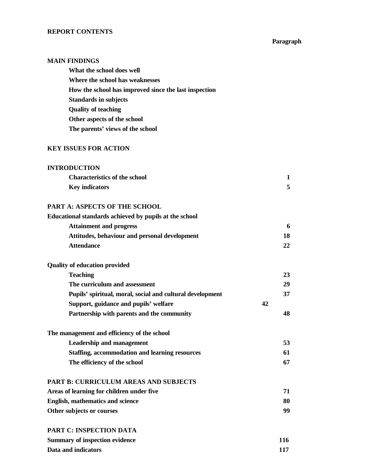#### **REPORT CONTENTS**

#### **Paragraph**

#### **MAIN FINDINGS**

**What the school does well Where the school has weaknesses How the school has improved since the last inspection Standards in subjects Quality of teaching Other aspects of the school The parents' views of the school**

# **KEY ISSUES FOR ACTION**

## **INTRODUCTION**

| <b>Characteristics of the school</b> |  |
|--------------------------------------|--|
| <b>Key indicators</b>                |  |

# **PART A: ASPECTS OF THE SCHOOL**

#### **Educational standards achieved by pupils at the school Attainment and progress 6**

| Attainment and progress                       |  |
|-----------------------------------------------|--|
| Attitudes, behaviour and personal development |  |
| <b>Attendance</b>                             |  |

| <b>Quality of education provided</b>                      |    |    |
|-----------------------------------------------------------|----|----|
| <b>Teaching</b>                                           |    | 23 |
| The curriculum and assessment                             |    | 29 |
| Pupils' spiritual, moral, social and cultural development |    | 37 |
| Support, guidance and pupils' welfare                     | 42 |    |
| Partnership with parents and the community                |    | 48 |

| The management and efficiency of the school    |    |
|------------------------------------------------|----|
| <b>Leadership and management</b>               | 53 |
| Staffing, accommodation and learning resources | 61 |
| The efficiency of the school                   | 67 |

#### **PART B: CURRICULUM AREAS AND SUBJECTS**

| Areas of learning for children under five |    |
|-------------------------------------------|----|
| <b>English, mathematics and science</b>   | 80 |
| Other subjects or courses                 | 99 |

| <b>PART C: INSPECTION DATA</b> |  |  |  |
|--------------------------------|--|--|--|
|                                |  |  |  |

| <b>Summary of inspection evidence</b> | 116 |
|---------------------------------------|-----|
| Data and indicators                   |     |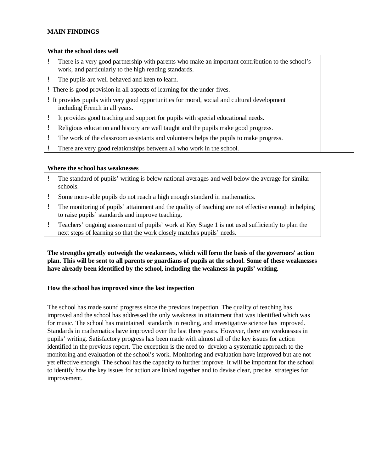# **MAIN FINDINGS**

#### **What the school does well**

| There is a very good partnership with parents who make an important contribution to the school's<br>work, and particularly to the high reading standards. |  |
|-----------------------------------------------------------------------------------------------------------------------------------------------------------|--|
| The pupils are well behaved and keen to learn.                                                                                                            |  |
| ! There is good provision in all aspects of learning for the under-fives.                                                                                 |  |
| ! It provides pupils with very good opportunities for moral, social and cultural development<br>including French in all years.                            |  |
| It provides good teaching and support for pupils with special educational needs.                                                                          |  |
| Religious education and history are well taught and the pupils make good progress.                                                                        |  |
| The work of the classroom assistants and volunteers helps the pupils to make progress.                                                                    |  |

! There are very good relationships between all who work in the school.

# **Where the school has weaknesses**

- ! The standard of pupils' writing is below national averages and well below the average for similar schools.
- ! Some more-able pupils do not reach a high enough standard in mathematics.
- ! The monitoring of pupils' attainment and the quality of teaching are not effective enough in helping to raise pupils' standards and improve teaching.
- ! Teachers' ongoing assessment of pupils' work at Key Stage 1 is not used sufficiently to plan the next steps of learning so that the work closely matches pupils' needs.

**The strengths greatly outweigh the weaknesses, which will form the basis of the governors' action plan. This will be sent to all parents or guardians of pupils at the school. Some of these weaknesses have already been identified by the school, including the weakness in pupils' writing.**

# **How the school has improved since the last inspection**

The school has made sound progress since the previous inspection. The quality of teaching has improved and the school has addressed the only weakness in attainment that was identified which was for music. The school has maintained standards in reading, and investigative science has improved. Standards in mathematics have improved over the last three years. However, there are weaknesses in pupils' writing. Satisfactory progress has been made with almost all of the key issues for action identified in the previous report. The exception is the need to develop a systematic approach to the monitoring and evaluation of the school's work. Monitoring and evaluation have improved but are not yet effective enough. The school has the capacity to further improve. It will be important for the school to identify how the key issues for action are linked together and to devise clear, precise strategies for improvement.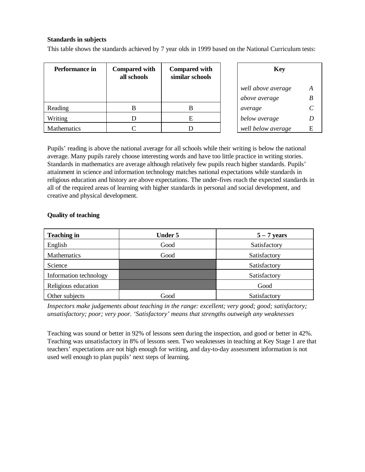# **Standards in subjects**

This table shows the standards achieved by 7 year olds in 1999 based on the National Curriculum tests:

| Performance in     | <b>Compared with</b><br>all schools | <b>Compared with</b><br>similar schools |  | <b>Key</b>         |   |
|--------------------|-------------------------------------|-----------------------------------------|--|--------------------|---|
|                    |                                     |                                         |  | well above average | A |
|                    |                                     |                                         |  | above average      | B |
| Reading            | В                                   |                                         |  | average            |   |
| Writing            |                                     | Е                                       |  | below average      |   |
| <b>Mathematics</b> |                                     |                                         |  | well below average | Е |

Pupils' reading is above the national average for all schools while their writing is below the national average. Many pupils rarely choose interesting words and have too little practice in writing stories. Standards in mathematics are average although relatively few pupils reach higher standards. Pupils' attainment in science and information technology matches national expectations while standards in religious education and history are above expectations. The under-fives reach the expected standards in all of the required areas of learning with higher standards in personal and social development, and creative and physical development.

# **Quality of teaching**

| <b>Teaching in</b>     | <b>Under 5</b> | $5 - 7$ years |
|------------------------|----------------|---------------|
| English                | Good           | Satisfactory  |
| Mathematics            | Good           | Satisfactory  |
| Science                |                | Satisfactory  |
| Information technology |                | Satisfactory  |
| Religious education    |                | Good          |
| Other subjects         | Good           | Satisfactory  |

*Inspectors make judgements about teaching in the range: excellent; very good; good; satisfactory; unsatisfactory; poor; very poor. 'Satisfactory' means that strengths outweigh any weaknesses*

Teaching was sound or better in 92% of lessons seen during the inspection, and good or better in 42%. Teaching was unsatisfactory in 8% of lessons seen. Two weaknesses in teaching at Key Stage 1 are that teachers' expectations are not high enough for writing, and day-to-day assessment information is not used well enough to plan pupils' next steps of learning*.*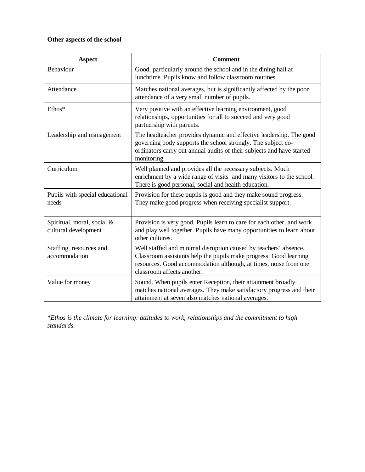# **Other aspects of the school**

| <b>Aspect</b>                                      | <b>Comment</b>                                                                                                                                                                                                                          |
|----------------------------------------------------|-----------------------------------------------------------------------------------------------------------------------------------------------------------------------------------------------------------------------------------------|
| Behaviour                                          | Good, particularly around the school and in the dining hall at<br>lunchtime. Pupils know and follow classroom routines.                                                                                                                 |
| Attendance                                         | Matches national averages, but is significantly affected by the poor<br>attendance of a very small number of pupils.                                                                                                                    |
| Ethos*                                             | Very positive with an effective learning environment, good<br>relationships, opportunities for all to succeed and very good<br>partnership with parents.                                                                                |
| Leadership and management                          | The headteacher provides dynamic and effective leadership. The good<br>governing body supports the school strongly. The subject co-<br>ordinators carry out annual audits of their subjects and have started<br>monitoring.             |
| Curriculum                                         | Well planned and provides all the necessary subjects. Much<br>enrichment by a wide range of visits and many visitors to the school.<br>There is good personal, social and health education.                                             |
| Pupils with special educational<br>needs           | Provision for these pupils is good and they make sound progress.<br>They make good progress when receiving specialist support.                                                                                                          |
| Spiritual, moral, social &<br>cultural development | Provision is very good. Pupils learn to care for each other, and work<br>and play well together. Pupils have many opportunities to learn about<br>other cultures.                                                                       |
| Staffing, resources and<br>accommodation           | Well staffed and minimal disruption caused by teachers' absence.<br>Classroom assistants help the pupils make progress. Good learning<br>resources. Good accommodation although, at times, noise from one<br>classroom affects another. |
| Value for money                                    | Sound. When pupils enter Reception, their attainment broadly<br>matches national averages. They make satisfactory progress and their<br>attainment at seven also matches national averages.                                             |

*\*Ethos is the climate for learning: attitudes to work, relationships and the commitment to high standards.*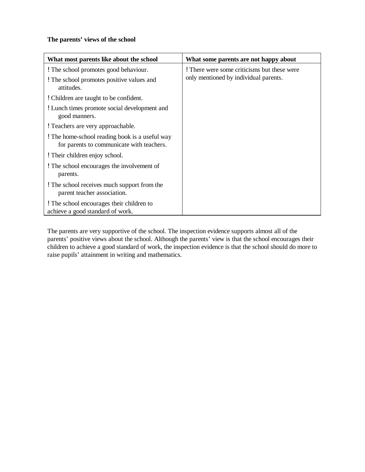# **The parents' views of the school**

| What most parents like about the school                                                     | What some parents are not happy about       |
|---------------------------------------------------------------------------------------------|---------------------------------------------|
| ! The school promotes good behaviour.                                                       | ! There were some criticisms but these were |
| ! The school promotes positive values and<br>attitudes.                                     | only mentioned by individual parents.       |
| ! Children are taught to be confident.                                                      |                                             |
| ! Lunch times promote social development and<br>good manners.                               |                                             |
| ! Teachers are very approachable.                                                           |                                             |
| ! The home-school reading book is a useful way<br>for parents to communicate with teachers. |                                             |
| ! Their children enjoy school.                                                              |                                             |
| ! The school encourages the involvement of<br>parents.                                      |                                             |
| ! The school receives much support from the<br>parent teacher association.                  |                                             |
| ! The school encourages their children to<br>achieve a good standard of work.               |                                             |

The parents are very supportive of the school. The inspection evidence supports almost all of the parents' positive views about the school. Although the parents' view is that the school encourages their children to achieve a good standard of work, the inspection evidence is that the school should do more to raise pupils' attainment in writing and mathematics.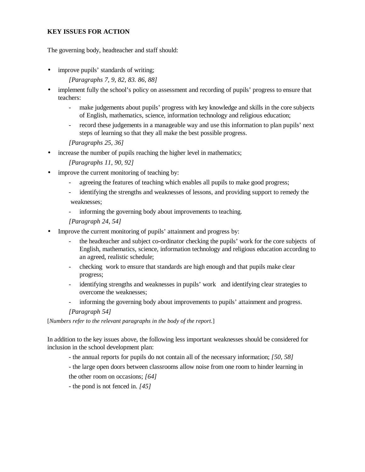# **KEY ISSUES FOR ACTION**

The governing body, headteacher and staff should:

- improve pupils' standards of writing; *[Paragraphs 7, 9, 82, 83. 86, 88]*
- implement fully the school's policy on assessment and recording of pupils' progress to ensure that teachers:
	- make judgements about pupils' progress with key knowledge and skills in the core subjects of English, mathematics, science, information technology and religious education;
	- record these judgements in a manageable way and use this information to plan pupils' next steps of learning so that they all make the best possible progress.

*[Paragraphs 25, 36]*

• increase the number of pupils reaching the higher level in mathematics;

*[Paragraphs 11, 90, 92]*

- improve the current monitoring of teaching by:
	- agreeing the features of teaching which enables all pupils to make good progress;
	- identifying the strengths and weaknesses of lessons, and providing support to remedy the weaknesses;

- informing the governing body about improvements to teaching.

*[Paragraph 24, 54]*

- Improve the current monitoring of pupils' attainment and progress by:
	- the headteacher and subject co-ordinator checking the pupils' work for the core subjects of English, mathematics, science, information technology and religious education according to an agreed, realistic schedule;
	- checking work to ensure that standards are high enough and that pupils make clear progress;
	- identifying strengths and weaknesses in pupils' work and identifying clear strategies to overcome the weaknesses;
	- informing the governing body about improvements to pupils' attainment and progress.

*[Paragraph 54]*

[*Numbers refer to the relevant paragraphs in the body of the report*.]

In addition to the key issues above, the following less important weaknesses should be considered for inclusion in the school development plan:

- the annual reports for pupils do not contain all of the necessary information; *[50, 58]*
- the large open doors between classrooms allow noise from one room to hinder learning in the other room on occasions; *[64]*
- the pond is not fenced in. *[45]*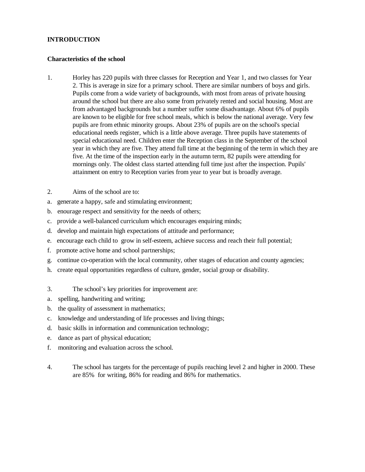# **INTRODUCTION**

#### **Characteristics of the school**

- 1. Horley has 220 pupils with three classes for Reception and Year 1, and two classes for Year 2. This is average in size for a primary school. There are similar numbers of boys and girls. Pupils come from a wide variety of backgrounds, with most from areas of private housing around the school but there are also some from privately rented and social housing. Most are from advantaged backgrounds but a number suffer some disadvantage. About 6% of pupils are known to be eligible for free school meals, which is below the national average. Very few pupils are from ethnic minority groups. About 23% of pupils are on the school's special educational needs register, which is a little above average. Three pupils have statements of special educational need. Children enter the Reception class in the September of the school year in which they are five. They attend full time at the beginning of the term in which they are five. At the time of the inspection early in the autumn term, 82 pupils were attending for mornings only. The oldest class started attending full time just after the inspection. Pupils' attainment on entry to Reception varies from year to year but is broadly average.
- 2. Aims of the school are to:
- a. generate a happy, safe and stimulating environment;
- b. enourage respect and sensitivity for the needs of others;
- c. provide a well-balanced curriculum which encourages enquiring minds;
- d. develop and maintain high expectations of attitude and performance;
- e. encourage each child to grow in self-esteem, achieve success and reach their full potential;
- f. promote active home and school partnerships;
- g. continue co-operation with the local community, other stages of education and county agencies;
- h. create equal opportunities regardless of culture, gender, social group or disability.
- 3. The school's key priorities for improvement are:
- a. spelling, handwriting and writing;
- b. the quality of assessment in mathematics;
- c. knowledge and understanding of life processes and living things;
- d. basic skills in information and communication technology;
- e. dance as part of physical education;
- f. monitoring and evaluation across the school.
- 4. The school has targets for the percentage of pupils reaching level 2 and higher in 2000. These are 85% for writing, 86% for reading and 86% for mathematics.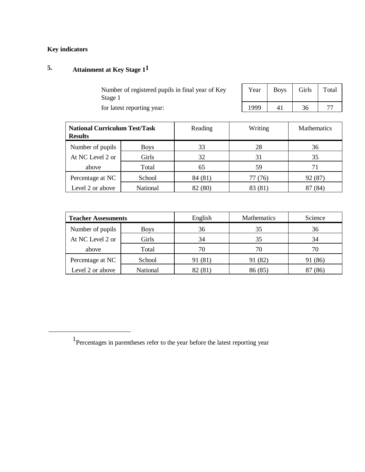# **Key indicators**

# **5. Attainment at Key Stage 11**

\_\_\_\_\_\_\_\_\_\_\_\_\_\_\_\_\_\_\_\_\_\_\_\_\_

| Number of registered pupils in final year of Key |  |
|--------------------------------------------------|--|
| Stage 1                                          |  |
| for latest reporting year:                       |  |

| Year | <b>Boys</b> | Girls | Total |
|------|-------------|-------|-------|
| 1999 |             | 36    |       |

| <b>National Curriculum Test/Task</b><br><b>Results</b> |                 | Reading | Writing | <b>Mathematics</b> |
|--------------------------------------------------------|-----------------|---------|---------|--------------------|
| Number of pupils                                       | <b>Boys</b>     | 33      | 28      | 36                 |
| At NC Level 2 or                                       | Girls           | 32      | 31      | 35                 |
| above                                                  | Total           | 65      | 59      |                    |
| Percentage at NC                                       | School          | 84 (81) | 77 (76) | 92 (87)            |
| Level 2 or above                                       | <b>National</b> | (80)    | 83 (81) | 84                 |

| <b>Teacher Assessments</b> |                 | English | <b>Mathematics</b> | Science |
|----------------------------|-----------------|---------|--------------------|---------|
| Number of pupils           | <b>Boys</b>     | 36      | 35                 | 36      |
| At NC Level 2 or           | Girls           | 34      | 35                 | 34      |
| above                      | Total           | 70      | 70                 | 70      |
| Percentage at NC           | School          | 91 (81) | 91 (82)            | 91 (86) |
| Level 2 or above           | <b>National</b> | 82 (81) | 86 (85)            | 87 (86) |

<sup>&</sup>lt;sup>1</sup> Percentages in parentheses refer to the year before the latest reporting year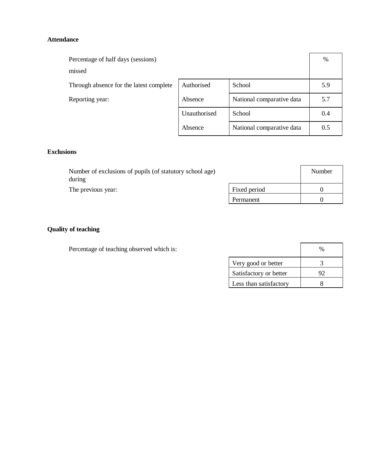# **Attendance**

| Percentage of half days (sessions)      |              |                           | %   |
|-----------------------------------------|--------------|---------------------------|-----|
| missed                                  |              |                           |     |
| Through absence for the latest complete | Authorised   | School                    | 5.9 |
| Reporting year:                         | Absence      | National comparative data | 5.7 |
|                                         | Unauthorised | School                    | 0.4 |
|                                         | Absence      | National comparative data | 0.5 |

# **Exclusions**

| Number of exclusions of pupils (of statutory school age)<br>during |           | Number |
|--------------------------------------------------------------------|-----------|--------|
| Fixed period<br>The previous year:                                 |           |        |
|                                                                    | Permanent |        |

# **Quality of teaching**

Percentage of teaching observed which is:

|                        | %  |
|------------------------|----|
| Very good or better    |    |
| Satisfactory or better | 92 |
| Less than satisfactory |    |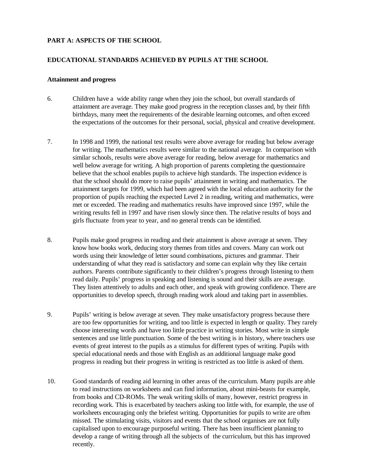# **PART A: ASPECTS OF THE SCHOOL**

#### **EDUCATIONAL STANDARDS ACHIEVED BY PUPILS AT THE SCHOOL**

#### **Attainment and progress**

- 6. Children have a wide ability range when they join the school, but overall standards of attainment are average. They make good progress in the reception classes and, by their fifth birthdays, many meet the requirements of the desirable learning outcomes, and often exceed the expectations of the outcomes for their personal, social, physical and creative development.
- 7. In 1998 and 1999, the national test results were above average for reading but below average for writing. The mathematics results were similar to the national average. In comparison with similar schools, results were above average for reading, below average for mathematics and well below average for writing. A high proportion of parents completing the questionnaire believe that the school enables pupils to achieve high standards. The inspection evidence is that the school should do more to raise pupils' attainment in writing and mathematics. The attainment targets for 1999, which had been agreed with the local education authority for the proportion of pupils reaching the expected Level 2 in reading, writing and mathematics, were met or exceeded. The reading and mathematics results have improved since 1997, while the writing results fell in 1997 and have risen slowly since then. The relative results of boys and girls fluctuate from year to year, and no general trends can be identified.
- 8. Pupils make good progress in reading and their attainment is above average at seven. They know how books work, deducing story themes from titles and covers. Many can work out words using their knowledge of letter sound combinations, pictures and grammar. Their understanding of what they read is satisfactory and some can explain why they like certain authors. Parents contribute significantly to their children's progress through listening to them read daily. Pupils' progress in speaking and listening is sound and their skills are average. They listen attentively to adults and each other, and speak with growing confidence. There are opportunities to develop speech, through reading work aloud and taking part in assemblies.
- 9. Pupils' writing is below average at seven. They make unsatisfactory progress because there are too few opportunities for writing, and too little is expected in length or quality. They rarely choose interesting words and have too little practice in writing stories. Most write in simple sentences and use little punctuation. Some of the best writing is in history, where teachers use events of great interest to the pupils as a stimulus for different types of writing. Pupils with special educational needs and those with English as an additional language make good progress in reading but their progress in writing is restricted as too little is asked of them.
- 10. Good standards of reading aid learning in other areas of the curriculum. Many pupils are able to read instructions on worksheets and can find information, about mini-beasts for example, from books and CD-ROMs. The weak writing skills of many, however, restrict progress in recording work. This is exacerbated by teachers asking too little with, for example, the use of worksheets encouraging only the briefest writing. Opportunities for pupils to write are often missed. The stimulating visits, visitors and events that the school organises are not fully capitalised upon to encourage purposeful writing. There has been insufficient planning to develop a range of writing through all the subjects of the curriculum, but this has improved recently.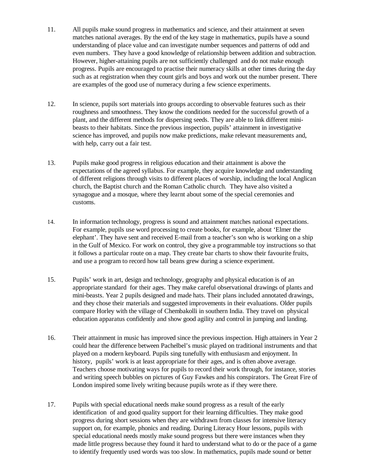- 11. All pupils make sound progress in mathematics and science, and their attainment at seven matches national averages. By the end of the key stage in mathematics, pupils have a sound understanding of place value and can investigate number sequences and patterns of odd and even numbers. They have a good knowledge of relationship between addition and subtraction. However, higher-attaining pupils are not sufficiently challenged and do not make enough progress. Pupils are encouraged to practise their numeracy skills at other times during the day such as at registration when they count girls and boys and work out the number present. There are examples of the good use of numeracy during a few science experiments.
- 12. In science, pupils sort materials into groups according to observable features such as their roughness and smoothness. They know the conditions needed for the successful growth of a plant, and the different methods for dispersing seeds. They are able to link different minibeasts to their habitats. Since the previous inspection, pupils' attainment in investigative science has improved, and pupils now make predictions, make relevant measurements and, with help, carry out a fair test.
- 13. Pupils make good progress in religious education and their attainment is above the expectations of the agreed syllabus. For example, they acquire knowledge and understanding of different religions through visits to different places of worship, including the local Anglican church, the Baptist church and the Roman Catholic church. They have also visited a synagogue and a mosque, where they learnt about some of the special ceremonies and customs.
- 14. In information technology, progress is sound and attainment matches national expectations. For example, pupils use word processing to create books, for example, about 'Elmer the elephant'. They have sent and received E-mail from a teacher's son who is working on a ship in the Gulf of Mexico. For work on control, they give a programmable toy instructions so that it follows a particular route on a map. They create bar charts to show their favourite fruits, and use a program to record how tall beans grew during a science experiment.
- 15. Pupils' work in art, design and technology, geography and physical education is of an appropriate standard for their ages. They make careful observational drawings of plants and mini-beasts. Year 2 pupils designed and made hats. Their plans included annotated drawings, and they chose their materials and suggested improvements in their evaluations. Older pupils compare Horley with the village of Chembakolli in southern India. They travel on physical education apparatus confidently and show good agility and control in jumping and landing.
- 16. Their attainment in music has improved since the previous inspection. High attainers in Year 2 could hear the difference between Pachelbel's music played on traditional instruments and that played on a modern keyboard. Pupils sing tunefully with enthusiasm and enjoyment. In history, pupils' work is at least appropriate for their ages, and is often above average. Teachers choose motivating ways for pupils to record their work through, for instance, stories and writing speech bubbles on pictures of Guy Fawkes and his conspirators. The Great Fire of London inspired some lively writing because pupils wrote as if they were there.
- 17. Pupils with special educational needs make sound progress as a result of the early identification of and good quality support for their learning difficulties. They make good progress during short sessions when they are withdrawn from classes for intensive literacy support on, for example, phonics and reading. During Literacy Hour lessons, pupils with special educational needs mostly make sound progress but there were instances when they made little progress because they found it hard to understand what to do or the pace of a game to identify frequently used words was too slow. In mathematics, pupils made sound or better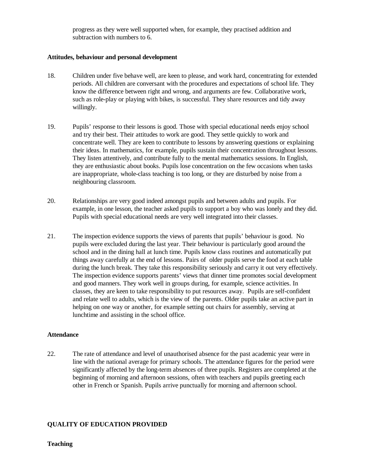progress as they were well supported when, for example, they practised addition and subtraction with numbers to 6.

#### **Attitudes, behaviour and personal development**

- 18. Children under five behave well, are keen to please, and work hard, concentrating for extended periods. All children are conversant with the procedures and expectations of school life. They know the difference between right and wrong, and arguments are few. Collaborative work, such as role-play or playing with bikes, is successful. They share resources and tidy away willingly.
- 19. Pupils' response to their lessons is good. Those with special educational needs enjoy school and try their best. Their attitudes to work are good. They settle quickly to work and concentrate well. They are keen to contribute to lessons by answering questions or explaining their ideas. In mathematics, for example, pupils sustain their concentration throughout lessons. They listen attentively, and contribute fully to the mental mathematics sessions. In English, they are enthusiastic about books. Pupils lose concentration on the few occasions when tasks are inappropriate, whole-class teaching is too long, or they are disturbed by noise from a neighbouring classroom.
- 20. Relationships are very good indeed amongst pupils and between adults and pupils. For example, in one lesson, the teacher asked pupils to support a boy who was lonely and they did. Pupils with special educational needs are very well integrated into their classes.
- 21. The inspection evidence supports the views of parents that pupils' behaviour is good. No pupils were excluded during the last year. Their behaviour is particularly good around the school and in the dining hall at lunch time. Pupils know class routines and automatically put things away carefully at the end of lessons. Pairs of older pupils serve the food at each table during the lunch break. They take this responsibility seriously and carry it out very effectively. The inspection evidence supports parents' views that dinner time promotes social development and good manners. They work well in groups during, for example, science activities. In classes, they are keen to take responsibility to put resources away. Pupils are self-confident and relate well to adults, which is the view of the parents. Older pupils take an active part in helping on one way or another, for example setting out chairs for assembly, serving at lunchtime and assisting in the school office.

# **Attendance**

22. The rate of attendance and level of unauthorised absence for the past academic year were in line with the national average for primary schools. The attendance figures for the period were significantly affected by the long-term absences of three pupils. Registers are completed at the beginning of morning and afternoon sessions, often with teachers and pupils greeting each other in French or Spanish. Pupils arrive punctually for morning and afternoon school.

# **QUALITY OF EDUCATION PROVIDED**

#### **Teaching**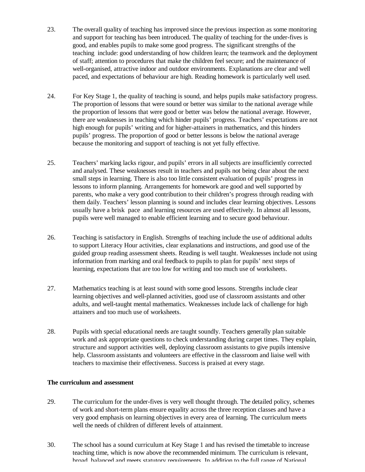- 23. The overall quality of teaching has improved since the previous inspection as some monitoring and support for teaching has been introduced. The quality of teaching for the under-fives is good, and enables pupils to make some good progress. The significant strengths of the teaching include: good understanding of how children learn; the teamwork and the deployment of staff; attention to procedures that make the children feel secure; and the maintenance of well-organised, attractive indoor and outdoor environments. Explanations are clear and well paced, and expectations of behaviour are high. Reading homework is particularly well used.
- 24. For Key Stage 1, the quality of teaching is sound, and helps pupils make satisfactory progress. The proportion of lessons that were sound or better was similar to the national average while the proportion of lessons that were good or better was below the national average. However, there are weaknesses in teaching which hinder pupils' progress. Teachers' expectations are not high enough for pupils' writing and for higher-attainers in mathematics, and this hinders pupils' progress. The proportion of good or better lessons is below the national average because the monitoring and support of teaching is not yet fully effective.
- 25. Teachers' marking lacks rigour, and pupils' errors in all subjects are insufficiently corrected and analysed. These weaknesses result in teachers and pupils not being clear about the next small steps in learning. There is also too little consistent evaluation of pupils' progress in lessons to inform planning. Arrangements for homework are good and well supported by parents, who make a very good contribution to their children's progress through reading with them daily. Teachers' lesson planning is sound and includes clear learning objectives. Lessons usually have a brisk pace and learning resources are used effectively. In almost all lessons, pupils were well managed to enable efficient learning and to secure good behaviour.
- 26. Teaching is satisfactory in English. Strengths of teaching include the use of additional adults to support Literacy Hour activities, clear explanations and instructions, and good use of the guided group reading assessment sheets. Reading is well taught. Weaknesses include not using information from marking and oral feedback to pupils to plan for pupils' next steps of learning, expectations that are too low for writing and too much use of worksheets.
- 27. Mathematics teaching is at least sound with some good lessons. Strengths include clear learning objectives and well-planned activities, good use of classroom assistants and other adults, and well-taught mental mathematics. Weaknesses include lack of challenge for high attainers and too much use of worksheets.
- 28. Pupils with special educational needs are taught soundly. Teachers generally plan suitable work and ask appropriate questions to check understanding during carpet times. They explain, structure and support activities well, deploying classroom assistants to give pupils intensive help. Classroom assistants and volunteers are effective in the classroom and liaise well with teachers to maximise their effectiveness. Success is praised at every stage.

# **The curriculum and assessment**

- 29. The curriculum for the under-fives is very well thought through. The detailed policy, schemes of work and short-term plans ensure equality across the three reception classes and have a very good emphasis on learning objectives in every area of learning. The curriculum meets well the needs of children of different levels of attainment.
- 30. The school has a sound curriculum at Key Stage 1 and has revised the timetable to increase teaching time, which is now above the recommended minimum. The curriculum is relevant, broad, balanced and meets statutory requirements. In addition to the full range of National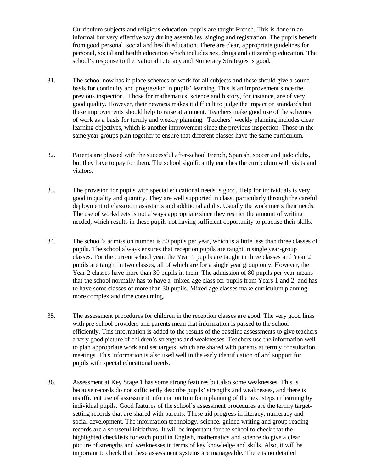Curriculum subjects and religious education, pupils are taught French. This is done in an informal but very effective way during assemblies, singing and registration. The pupils benefit from good personal, social and health education. There are clear, appropriate guidelines for personal, social and health education which includes sex, drugs and citizenship education. The school's response to the National Literacy and Numeracy Strategies is good.

- 31. The school now has in place schemes of work for all subjects and these should give a sound basis for continuity and progression in pupils' learning. This is an improvement since the previous inspection. Those for mathematics, science and history, for instance, are of very good quality. However, their newness makes it difficult to judge the impact on standards but these improvements should help to raise attainment. Teachers make good use of the schemes of work as a basis for termly and weekly planning. Teachers' weekly planning includes clear learning objectives, which is another improvement since the previous inspection. Those in the same year groups plan together to ensure that different classes have the same curriculum.
- 32. Parents are pleased with the successful after-school French, Spanish, soccer and judo clubs, but they have to pay for them. The school significantly enriches the curriculum with visits and visitors.
- 33. The provision for pupils with special educational needs is good. Help for individuals is very good in quality and quantity. They are well supported in class, particularly through the careful deployment of classroom assistants and additional adults. Usually the work meets their needs. The use of worksheets is not always appropriate since they restrict the amount of writing needed, which results in these pupils not having sufficient opportunity to practise their skills.
- 34. The school's admission number is 80 pupils per year, which is a little less than three classes of pupils. The school always ensures that reception pupils are taught in single year-group classes. For the current school year, the Year 1 pupils are taught in three classes and Year 2 pupils are taught in two classes, all of which are for a single year group only. However, the Year 2 classes have more than 30 pupils in them. The admission of 80 pupils per year means that the school normally has to have a mixed-age class for pupils from Years 1 and 2, and has to have some classes of more than 30 pupils. Mixed-age classes make curriculum planning more complex and time consuming.
- 35. The assessment procedures for children in the reception classes are good. The very good links with pre-school providers and parents mean that information is passed to the school efficiently. This information is added to the results of the baseline assessments to give teachers a very good picture of children's strengths and weaknesses. Teachers use the information well to plan appropriate work and set targets, which are shared with parents at termly consultation meetings. This information is also used well in the early identification of and support for pupils with special educational needs.
- 36. Assessment at Key Stage 1 has some strong features but also some weaknesses. This is because records do not sufficiently describe pupils' strengths and weaknesses, and there is insufficient use of assessment information to inform planning of the next steps in learning by individual pupils. Good features of the school's assessment procedures are the termly targetsetting records that are shared with parents. These aid progress in literacy, numeracy and social development. The information technology, science, guided writing and group reading records are also useful initiatives. It will be important for the school to check that the highlighted checklists for each pupil in English, mathematics and science do give a clear picture of strengths and weaknesses in terms of key knowledge and skills. Also, it will be important to check that these assessment systems are manageable. There is no detailed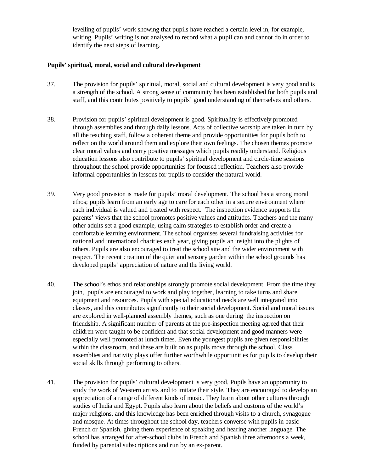levelling of pupils' work showing that pupils have reached a certain level in, for example, writing. Pupils' writing is not analysed to record what a pupil can and cannot do in order to identify the next steps of learning.

#### **Pupils' spiritual, moral, social and cultural development**

- 37. The provision for pupils' spiritual, moral, social and cultural development is very good and is a strength of the school. A strong sense of community has been established for both pupils and staff, and this contributes positively to pupils' good understanding of themselves and others.
- 38. Provision for pupils' spiritual development is good. Spirituality is effectively promoted through assemblies and through daily lessons. Acts of collective worship are taken in turn by all the teaching staff, follow a coherent theme and provide opportunities for pupils both to reflect on the world around them and explore their own feelings. The chosen themes promote clear moral values and carry positive messages which pupils readily understand. Religious education lessons also contribute to pupils' spiritual development and circle-time sessions throughout the school provide opportunities for focused reflection. Teachers also provide informal opportunities in lessons for pupils to consider the natural world.
- 39. Very good provision is made for pupils' moral development. The school has a strong moral ethos; pupils learn from an early age to care for each other in a secure environment where each individual is valued and treated with respect. The inspection evidence supports the parents' views that the school promotes positive values and attitudes. Teachers and the many other adults set a good example, using calm strategies to establish order and create a comfortable learning environment. The school organises several fundraising activities for national and international charities each year, giving pupils an insight into the plights of others. Pupils are also encouraged to treat the school site and the wider environment with respect. The recent creation of the quiet and sensory garden within the school grounds has developed pupils' appreciation of nature and the living world.
- 40. The school's ethos and relationships strongly promote social development. From the time they join, pupils are encouraged to work and play together, learning to take turns and share equipment and resources. Pupils with special educational needs are well integrated into classes, and this contributes significantly to their social development. Social and moral issues are explored in well-planned assembly themes, such as one during the inspection on friendship. A significant number of parents at the pre-inspection meeting agreed that their children were taught to be confident and that social development and good manners were especially well promoted at lunch times. Even the youngest pupils are given responsibilities within the classroom, and these are built on as pupils move through the school. Class assemblies and nativity plays offer further worthwhile opportunities for pupils to develop their social skills through performing to others.
- 41. The provision for pupils' cultural development is very good. Pupils have an opportunity to study the work of Western artists and to imitate their style. They are encouraged to develop an appreciation of a range of different kinds of music. They learn about other cultures through studies of India and Egypt. Pupils also learn about the beliefs and customs of the world's major religions, and this knowledge has been enriched through visits to a church, synagogue and mosque. At times throughout the school day, teachers converse with pupils in basic French or Spanish, giving them experience of speaking and hearing another language. The school has arranged for after-school clubs in French and Spanish three afternoons a week, funded by parental subscriptions and run by an ex-parent.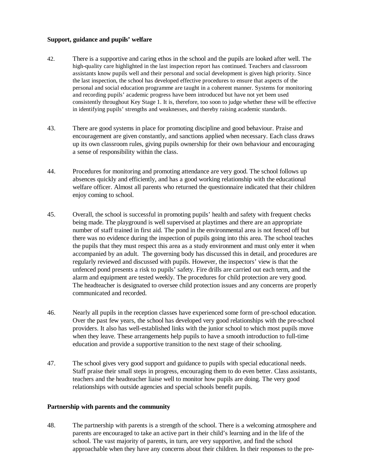## **Support, guidance and pupils' welfare**

- 42. There is a supportive and caring ethos in the school and the pupils are looked after well. The high-quality care highlighted in the last inspection report has continued. Teachers and classroom assistants know pupils well and their personal and social development is given high priority. Since the last inspection, the school has developed effective procedures to ensure that aspects of the personal and social education programme are taught in a coherent manner. Systems for monitoring and recording pupils' academic progress have been introduced but have not yet been used consistently throughout Key Stage 1. It is, therefore, too soon to judge whether these will be effective in identifying pupils' strengths and weaknesses, and thereby raising academic standards.
- 43. There are good systems in place for promoting discipline and good behaviour. Praise and encouragement are given constantly, and sanctions applied when necessary. Each class draws up its own classroom rules, giving pupils ownership for their own behaviour and encouraging a sense of responsibility within the class.
- 44. Procedures for monitoring and promoting attendance are very good. The school follows up absences quickly and efficiently, and has a good working relationship with the educational welfare officer. Almost all parents who returned the questionnaire indicated that their children enjoy coming to school.
- 45. Overall, the school is successful in promoting pupils' health and safety with frequent checks being made. The playground is well supervised at playtimes and there are an appropriate number of staff trained in first aid. The pond in the environmental area is not fenced off but there was no evidence during the inspection of pupils going into this area. The school teaches the pupils that they must respect this area as a study environment and must only enter it when accompanied by an adult. The governing body has discussed this in detail, and procedures are regularly reviewed and discussed with pupils. However, the inspectors' view is that the unfenced pond presents a risk to pupils' safety. Fire drills are carried out each term, and the alarm and equipment are tested weekly. The procedures for child protection are very good. The headteacher is designated to oversee child protection issues and any concerns are properly communicated and recorded.
- 46. Nearly all pupils in the reception classes have experienced some form of pre-school education. Over the past few years, the school has developed very good relationships with the pre-school providers. It also has well-established links with the junior school to which most pupils move when they leave. These arrangements help pupils to have a smooth introduction to full-time education and provide a supportive transition to the next stage of their schooling.
- 47. The school gives very good support and guidance to pupils with special educational needs. Staff praise their small steps in progress, encouraging them to do even better. Class assistants, teachers and the headteacher liaise well to monitor how pupils are doing. The very good relationships with outside agencies and special schools benefit pupils.

#### **Partnership with parents and the community**

48. The partnership with parents is a strength of the school. There is a welcoming atmosphere and parents are encouraged to take an active part in their child's learning and in the life of the school. The vast majority of parents, in turn, are very supportive, and find the school approachable when they have any concerns about their children. In their responses to the pre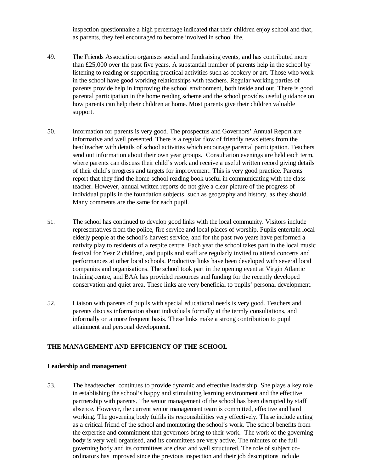inspection questionnaire a high percentage indicated that their children enjoy school and that, as parents, they feel encouraged to become involved in school life.

- 49. The Friends Association organises social and fundraising events, and has contributed more than  $£25,000$  over the past five years. A substantial number of parents help in the school by listening to reading or supporting practical activities such as cookery or art. Those who work in the school have good working relationships with teachers. Regular working parties of parents provide help in improving the school environment, both inside and out. There is good parental participation in the home reading scheme and the school provides useful guidance on how parents can help their children at home. Most parents give their children valuable support.
- 50. Information for parents is very good. The prospectus and Governors' Annual Report are informative and well presented. There is a regular flow of friendly newsletters from the headteacher with details of school activities which encourage parental participation. Teachers send out information about their own year groups. Consultation evenings are held each term, where parents can discuss their child's work and receive a useful written record giving details of their child's progress and targets for improvement. This is very good practice. Parents report that they find the home-school reading book useful in communicating with the class teacher. However, annual written reports do not give a clear picture of the progress of individual pupils in the foundation subjects, such as geography and history, as they should. Many comments are the same for each pupil.
- 51. The school has continued to develop good links with the local community. Visitors include representatives from the police, fire service and local places of worship. Pupils entertain local elderly people at the school's harvest service, and for the past two years have performed a nativity play to residents of a respite centre. Each year the school takes part in the local music festival for Year 2 children, and pupils and staff are regularly invited to attend concerts and performances at other local schools. Productive links have been developed with several local companies and organisations. The school took part in the opening event at Virgin Atlantic training centre, and BAA has provided resources and funding for the recently developed conservation and quiet area. These links are very beneficial to pupils' personal development.
- 52. Liaison with parents of pupils with special educational needs is very good. Teachers and parents discuss information about individuals formally at the termly consultations, and informally on a more frequent basis. These links make a strong contribution to pupil attainment and personal development.

# **THE MANAGEMENT AND EFFICIENCY OF THE SCHOOL**

#### **Leadership and management**

53. The headteacher continues to provide dynamic and effective leadership. She plays a key role in establishing the school's happy and stimulating learning environment and the effective partnership with parents. The senior management of the school has been disrupted by staff absence. However, the current senior management team is committed, effective and hard working. The governing body fulfils its responsibilities very effectively. These include acting as a critical friend of the school and monitoring the school's work. The school benefits from the expertise and commitment that governors bring to their work. The work of the governing body is very well organised, and its committees are very active. The minutes of the full governing body and its committees are clear and well structured. The role of subject coordinators has improved since the previous inspection and their job descriptions include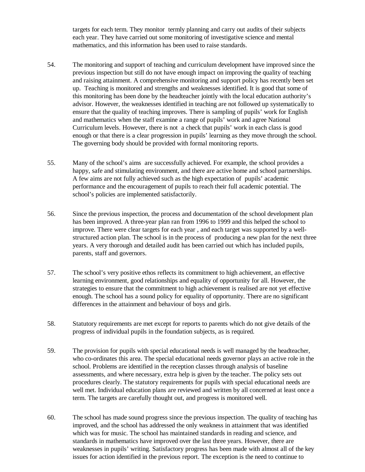targets for each term. They monitor termly planning and carry out audits of their subjects each year. They have carried out some monitoring of investigative science and mental mathematics, and this information has been used to raise standards.

- 54. The monitoring and support of teaching and curriculum development have improved since the previous inspection but still do not have enough impact on improving the quality of teaching and raising attainment. A comprehensive monitoring and support policy has recently been set up. Teaching is monitored and strengths and weaknesses identified. It is good that some of this monitoring has been done by the headteacher jointly with the local education authority's advisor. However, the weaknesses identified in teaching are not followed up systematically to ensure that the quality of teaching improves. There is sampling of pupils' work for English and mathematics when the staff examine a range of pupils' work and agree National Curriculum levels. However, there is not a check that pupils' work in each class is good enough or that there is a clear progression in pupils' learning as they move through the school. The governing body should be provided with formal monitoring reports.
- 55. Many of the school's aims are successfully achieved. For example, the school provides a happy, safe and stimulating environment, and there are active home and school partnerships. A few aims are not fully achieved such as the high expectation of pupils' academic performance and the encouragement of pupils to reach their full academic potential. The school's policies are implemented satisfactorily.
- 56. Since the previous inspection, the process and documentation of the school development plan has been improved. A three-year plan ran from 1996 to 1999 and this helped the school to improve. There were clear targets for each year , and each target was supported by a wellstructured action plan. The school is in the process of producing a new plan for the next three years. A very thorough and detailed audit has been carried out which has included pupils, parents, staff and governors.
- 57. The school's very positive ethos reflects its commitment to high achievement, an effective learning environment, good relationships and equality of opportunity for all. However, the strategies to ensure that the commitment to high achievement is realised are not yet effective enough. The school has a sound policy for equality of opportunity. There are no significant differences in the attainment and behaviour of boys and girls.
- 58. Statutory requirements are met except for reports to parents which do not give details of the progress of individual pupils in the foundation subjects, as is required.
- 59. The provision for pupils with special educational needs is well managed by the headteacher, who co-ordinates this area. The special educational needs governor plays an active role in the school. Problems are identified in the reception classes through analysis of baseline assessments, and where necessary, extra help is given by the teacher. The policy sets out procedures clearly. The statutory requirements for pupils with special educational needs are well met. Individual education plans are reviewed and written by all concerned at least once a term. The targets are carefully thought out, and progress is monitored well.
- 60. The school has made sound progress since the previous inspection. The quality of teaching has improved, and the school has addressed the only weakness in attainment that was identified which was for music. The school has maintained standards in reading and science, and standards in mathematics have improved over the last three years. However, there are weaknesses in pupils' writing. Satisfactory progress has been made with almost all of the key issues for action identified in the previous report. The exception is the need to continue to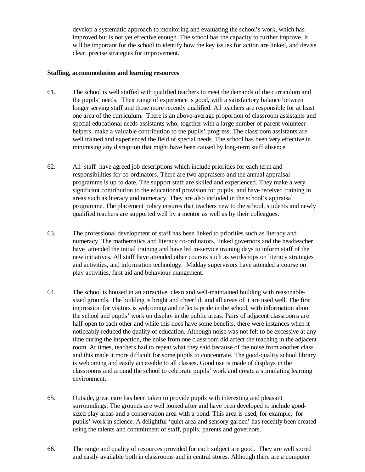develop a systematic approach to monitoring and evaluating the school's work, which has improved but is not yet effective enough. The school has the capacity to further improve. It will be important for the school to identify how the key issues for action are linked, and devise clear, precise strategies for improvement.

#### **Staffing, accommodation and learning resources**

- 61. The school is well staffed with qualified teachers to meet the demands of the curriculum and the pupils' needs. Their range of experience is good, with a satisfactory balance between longer serving staff and those more recently qualified. All teachers are responsible for at least one area of the curriculum. There is an above-average proportion of classroom assistants and special educational needs assistants who, together with a large number of parent volunteer helpers, make a valuable contribution to the pupils' progress. The classroom assistants are well trained and experienced the field of special needs. The school has been very effective in minimising any disruption that might have been caused by long-term staff absence.
- 62. All staff have agreed job descriptions which include priorities for each term and responsibilities for co-ordinators. There are two appraisers and the annual appraisal programme is up to date. The support staff are skilled and experienced. They make a very significant contribution to the educational provision for pupils, and have received training in areas such as literacy and numeracy. They are also included in the school's appraisal programme. The placement policy ensures that teachers new to the school, students and newly qualified teachers are supported well by a mentor as well as by their colleagues.
- 63. The professional development of staff has been linked to priorities such as literacy and numeracy. The mathematics and literacy co-ordinators, linked governors and the headteacher have attended the initial training and have led in-service training days to inform staff of the new initiatives. All staff have attended other courses such as workshops on literacy strategies and activities, and information technology. Midday supervisors have attended a course on play activities, first aid and behaviour mangement.
- 64. The school is housed in an attractive, clean and well-maintained building with reasonablesized grounds. The building is bright and cheerful, and all areas of it are used well. The first impression for visitors is welcoming and reflects pride in the school, with information about the school and pupils' work on display in the public areas. Pairs of adjacent classrooms are half-open to each other and while this does have some benefits, there were instances when it noticeably reduced the quality of education. Although noise was not felt to be excessive at any time during the inspection, the noise from one classroom did affect the teaching in the adjacent room. At times, teachers had to repeat what they said because of the noise from another class and this made it more difficult for some pupils to concentrate. The good-quality school library is welcoming and easily accessible to all classes. Good use is made of displays in the classrooms and around the school to celebrate pupils' work and create a stimulating learning environment.
- 65. Outside, great care has been taken to provide pupils with interesting and pleasant surroundings. The grounds are well looked after and have been developed to include goodsized play areas and a conservation area with a pond. This area is used, for example, for pupils' work in science. A delightful 'quiet area and sensory garden' has recently been created using the talents and commitment of staff, pupils, parents and governors.
- 66. The range and quality of resources provided for each subject are good. They are well stored and easily available both in classrooms and in central stores. Although there are a computer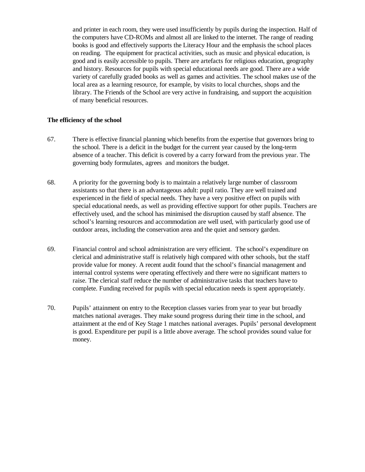and printer in each room, they were used insufficiently by pupils during the inspection. Half of the computers have CD-ROMs and almost all are linked to the internet. The range of reading books is good and effectively supports the Literacy Hour and the emphasis the school places on reading. The equipment for practical activities, such as music and physical education, is good and is easily accessible to pupils. There are artefacts for religious education, geography and history. Resources for pupils with special educational needs are good. There are a wide variety of carefully graded books as well as games and activities. The school makes use of the local area as a learning resource, for example, by visits to local churches, shops and the library. The Friends of the School are very active in fundraising, and support the acquisition of many beneficial resources.

# **The efficiency of the school**

- 67. There is effective financial planning which benefits from the expertise that governors bring to the school. There is a deficit in the budget for the current year caused by the long-term absence of a teacher. This deficit is covered by a carry forward from the previous year. The governing body formulates, agrees and monitors the budget.
- 68. A priority for the governing body is to maintain a relatively large number of classroom assistants so that there is an advantageous adult: pupil ratio. They are well trained and experienced in the field of special needs. They have a very positive effect on pupils with special educational needs, as well as providing effective support for other pupils. Teachers are effectively used, and the school has minimised the disruption caused by staff absence. The school's learning resources and accommodation are well used, with particularly good use of outdoor areas, including the conservation area and the quiet and sensory garden.
- 69. Financial control and school administration are very efficient. The school's expenditure on clerical and administrative staff is relatively high compared with other schools, but the staff provide value for money. A recent audit found that the school's financial management and internal control systems were operating effectively and there were no significant matters to raise. The clerical staff reduce the number of administrative tasks that teachers have to complete. Funding received for pupils with special education needs is spent appropriately.
- 70. Pupils' attainment on entry to the Reception classes varies from year to year but broadly matches national averages. They make sound progress during their time in the school, and attainment at the end of Key Stage 1 matches national averages. Pupils' personal development is good. Expenditure per pupil is a little above average. The school provides sound value for money.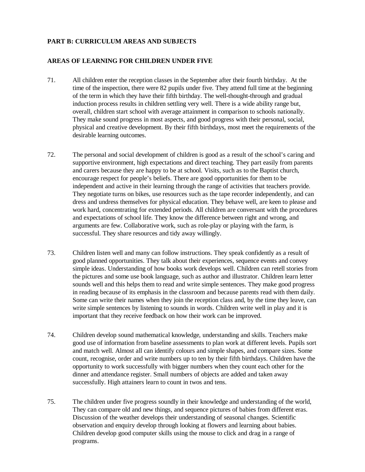# **PART B: CURRICULUM AREAS AND SUBJECTS**

# **AREAS OF LEARNING FOR CHILDREN UNDER FIVE**

- 71. All children enter the reception classes in the September after their fourth birthday. At the time of the inspection, there were 82 pupils under five. They attend full time at the beginning of the term in which they have their fifth birthday. The well-thought-through and gradual induction process results in children settling very well. There is a wide ability range but, overall, children start school with average attainment in comparison to schools nationally. They make sound progress in most aspects, and good progress with their personal, social, physical and creative development. By their fifth birthdays, most meet the requirements of the desirable learning outcomes.
- 72. The personal and social development of children is good as a result of the school's caring and supportive environment, high expectations and direct teaching. They part easily from parents and carers because they are happy to be at school. Visits, such as to the Baptist church, encourage respect for people's beliefs. There are good opportunities for them to be independent and active in their learning through the range of activities that teachers provide. They negotiate turns on bikes, use resources such as the tape recorder independently, and can dress and undress themselves for physical education. They behave well, are keen to please and work hard, concentrating for extended periods. All children are conversant with the procedures and expectations of school life. They know the difference between right and wrong, and arguments are few. Collaborative work, such as role-play or playing with the farm, is successful. They share resources and tidy away willingly.
- 73. Children listen well and many can follow instructions. They speak confidently as a result of good planned opportunities. They talk about their experiences, sequence events and convey simple ideas. Understanding of how books work develops well. Children can retell stories from the pictures and some use book language, such as author and illustrator. Children learn letter sounds well and this helps them to read and write simple sentences. They make good progress in reading because of its emphasis in the classroom and because parents read with them daily. Some can write their names when they join the reception class and, by the time they leave, can write simple sentences by listening to sounds in words. Children write well in play and it is important that they receive feedback on how their work can be improved.
- 74. Children develop sound mathematical knowledge, understanding and skills. Teachers make good use of information from baseline assessments to plan work at different levels. Pupils sort and match well. Almost all can identify colours and simple shapes, and compare sizes. Some count, recognise, order and write numbers up to ten by their fifth birthdays. Children have the opportunity to work successfully with bigger numbers when they count each other for the dinner and attendance register. Small numbers of objects are added and taken away successfully. High attainers learn to count in twos and tens.
- 75. The children under five progress soundly in their knowledge and understanding of the world, They can compare old and new things, and sequence pictures of babies from different eras. Discussion of the weather develops their understanding of seasonal changes. Scientific observation and enquiry develop through looking at flowers and learning about babies. Children develop good computer skills using the mouse to click and drag in a range of programs.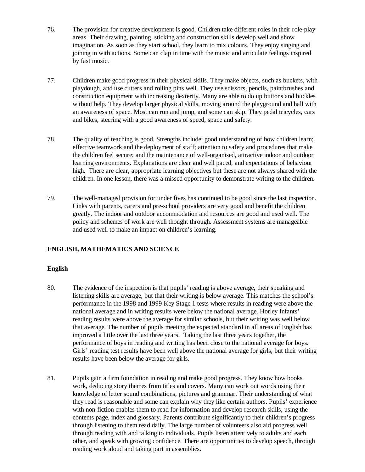- 76. The provision for creative development is good. Children take different roles in their role-play areas. Their drawing, painting, sticking and construction skills develop well and show imagination. As soon as they start school, they learn to mix colours. They enjoy singing and joining in with actions. Some can clap in time with the music and articulate feelings inspired by fast music.
- 77. Children make good progress in their physical skills. They make objects, such as buckets, with playdough, and use cutters and rolling pins well. They use scissors, pencils, paintbrushes and construction equipment with increasing dexterity. Many are able to do up buttons and buckles without help. They develop larger physical skills, moving around the playground and hall with an awareness of space. Most can run and jump, and some can skip. They pedal tricycles, cars and bikes, steering with a good awareness of speed, space and safety.
- 78. The quality of teaching is good. Strengths include: good understanding of how children learn; effective teamwork and the deployment of staff; attention to safety and procedures that make the children feel secure; and the maintenance of well-organised, attractive indoor and outdoor learning environments. Explanations are clear and well paced, and expectations of behaviour high. There are clear, appropriate learning objectives but these are not always shared with the children. In one lesson, there was a missed opportunity to demonstrate writing to the children.
- 79. The well-managed provision for under fives has continued to be good since the last inspection. Links with parents, carers and pre-school providers are very good and benefit the children greatly. The indoor and outdoor accommodation and resources are good and used well. The policy and schemes of work are well thought through. Assessment systems are manageable and used well to make an impact on children's learning.

# **ENGLISH, MATHEMATICS AND SCIENCE**

# **English**

- 80. The evidence of the inspection is that pupils' reading is above average, their speaking and listening skills are average, but that their writing is below average. This matches the school's performance in the 1998 and 1999 Key Stage 1 tests where results in reading were above the national average and in writing results were below the national average. Horley Infants' reading results were above the average for similar schools, but their writing was well below that average. The number of pupils meeting the expected standard in all areas of English has improved a little over the last three years. Taking the last three years together, the performance of boys in reading and writing has been close to the national average for boys. Girls' reading test results have been well above the national average for girls, but their writing results have been below the average for girls.
- 81. Pupils gain a firm foundation in reading and make good progress. They know how books work, deducing story themes from titles and covers. Many can work out words using their knowledge of letter sound combinations, pictures and grammar. Their understanding of what they read is reasonable and some can explain why they like certain authors. Pupils' experience with non-fiction enables them to read for information and develop research skills, using the contents page, index and glossary. Parents contribute significantly to their children's progress through listening to them read daily. The large number of volunteers also aid progress well through reading with and talking to individuals. Pupils listen attentively to adults and each other, and speak with growing confidence. There are opportunities to develop speech, through reading work aloud and taking part in assemblies.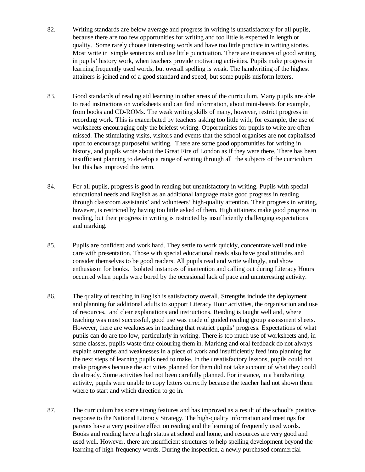- 82. Writing standards are below average and progress in writing is unsatisfactory for all pupils, because there are too few opportunities for writing and too little is expected in length or quality. Some rarely choose interesting words and have too little practice in writing stories. Most write in simple sentences and use little punctuation. There are instances of good writing in pupils' history work, when teachers provide motivating activities. Pupils make progress in learning frequently used words, but overall spelling is weak. The handwriting of the highest attainers is joined and of a good standard and speed, but some pupils misform letters.
- 83. Good standards of reading aid learning in other areas of the curriculum. Many pupils are able to read instructions on worksheets and can find information, about mini-beasts for example, from books and CD-ROMs. The weak writing skills of many, however, restrict progress in recording work. This is exacerbated by teachers asking too little with, for example, the use of worksheets encouraging only the briefest writing. Opportunities for pupils to write are often missed. The stimulating visits, visitors and events that the school organises are not capitalised upon to encourage purposeful writing. There are some good opportunities for writing in history, and pupils wrote about the Great Fire of London as if they were there. There has been insufficient planning to develop a range of writing through all the subjects of the curriculum but this has improved this term.
- 84. For all pupils, progress is good in reading but unsatisfactory in writing. Pupils with special educational needs and English as an additional language make good progress in reading through classroom assistants' and volunteers' high-quality attention. Their progress in writing, however, is restricted by having too little asked of them. High attainers make good progress in reading, but their progress in writing is restricted by insufficiently challenging expectations and marking.
- 85. Pupils are confident and work hard. They settle to work quickly, concentrate well and take care with presentation. Those with special educational needs also have good attitudes and consider themselves to be good readers. All pupils read and write willingly, and show enthusiasm for books. Isolated instances of inattention and calling out during Literacy Hours occurred when pupils were bored by the occasional lack of pace and uninteresting activity.
- 86. The quality of teaching in English is satisfactory overall. Strengths include the deployment and planning for additional adults to support Literacy Hour activities, the organisation and use of resources, and clear explanations and instructions. Reading is taught well and, where teaching was most successful, good use was made of guided reading group assessment sheets. However, there are weaknesses in teaching that restrict pupils' progress. Expectations of what pupils can do are too low, particularly in writing. There is too much use of worksheets and, in some classes, pupils waste time colouring them in. Marking and oral feedback do not always explain strengths and weaknesses in a piece of work and insufficiently feed into planning for the next steps of learning pupils need to make. In the unsatisfactory lessons, pupils could not make progress because the activities planned for them did not take account of what they could do already. Some activities had not been carefully planned. For instance, in a handwriting activity, pupils were unable to copy letters correctly because the teacher had not shown them where to start and which direction to go in.
- 87. The curriculum has some strong features and has improved as a result of the school's positive response to the National Literacy Strategy. The high-quality information and meetings for parents have a very positive effect on reading and the learning of frequently used words. Books and reading have a high status at school and home, and resources are very good and used well. However, there are insufficient structures to help spelling development beyond the learning of high-frequency words. During the inspection, a newly purchased commercial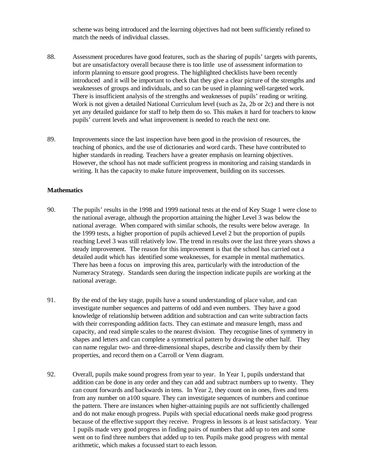scheme was being introduced and the learning objectives had not been sufficiently refined to match the needs of individual classes.

- 88. Assessment procedures have good features, such as the sharing of pupils' targets with parents, but are unsatisfactory overall because there is too little use of assessment information to inform planning to ensure good progress. The highlighted checklists have been recently introduced and it will be important to check that they give a clear picture of the strengths and weaknesses of groups and individuals, and so can be used in planning well-targeted work. There is insufficient analysis of the strengths and weaknesses of pupils' reading or writing. Work is not given a detailed National Curriculum level (such as 2a, 2b or 2c) and there is not yet any detailed guidance for staff to help them do so. This makes it hard for teachers to know pupils' current levels and what improvement is needed to reach the next one.
- 89. Improvements since the last inspection have been good in the provision of resources, the teaching of phonics, and the use of dictionaries and word cards. These have contributed to higher standards in reading. Teachers have a greater emphasis on learning objectives. However, the school has not made sufficient progress in monitoring and raising standards in writing. It has the capacity to make future improvement, building on its successes.

#### **Mathematics**

- 90. The pupils' results in the 1998 and 1999 national tests at the end of Key Stage 1 were close to the national average, although the proportion attaining the higher Level 3 was below the national average. When compared with similar schools, the results were below average. In the 1999 tests, a higher proportion of pupils achieved Level 2 but the proportion of pupils reaching Level 3 was still relatively low. The trend in results over the last three years shows a steady improvement. The reason for this improvement is that the school has carried out a detailed audit which has identified some weaknesses, for example in mental mathematics. There has been a focus on improving this area, particularly with the introduction of the Numeracy Strategy. Standards seen during the inspection indicate pupils are working at the national average.
- 91. By the end of the key stage, pupils have a sound understanding of place value, and can investigate number sequences and patterns of odd and even numbers. They have a good knowledge of relationship between addition and subtraction and can write subtraction facts with their corresponding addition facts. They can estimate and measure length, mass and capacity, and read simple scales to the nearest division. They recognise lines of symmetry in shapes and letters and can complete a symmetrical pattern by drawing the other half. They can name regular two- and three-dimensional shapes, describe and classify them by their properties, and record them on a Carroll or Venn diagram.
- 92. Overall, pupils make sound progress from year to year. In Year 1, pupils understand that addition can be done in any order and they can add and subtract numbers up to twenty. They can count forwards and backwards in tens. In Year 2, they count on in ones, fives and tens from any number on a100 square. They can investigate sequences of numbers and continue the pattern. There are instances when higher-attaining pupils are not sufficiently challenged and do not make enough progress. Pupils with special educational needs make good progress because of the effective support they receive. Progress in lessons is at least satisfactory. Year 1 pupils made very good progress in finding pairs of numbers that add up to ten and some went on to find three numbers that added up to ten. Pupils make good progress with mental arithmetic, which makes a focussed start to each lesson.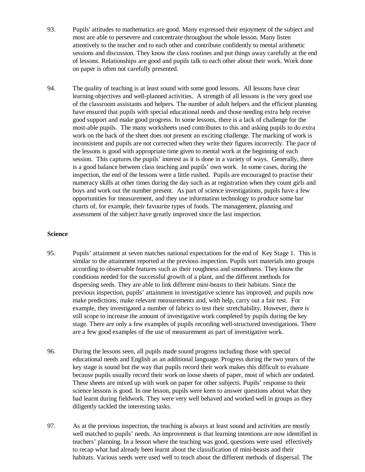- 93. Pupils' attitudes to mathematics are good. Many expressed their enjoyment of the subject and most are able to persevere and concentrate throughout the whole lesson. Many listen attentively to the teacher and to each other and contribute confidently to mental arithmetic sessions and discussion. They know the class routines and put things away carefully at the end of lessons. Relationships are good and pupils talk to each other about their work. Work done on paper is often not carefully presented.
- 94. The quality of teaching is at least sound with some good lessons. All lessons have clear learning objectives and well-planned activities. A strength of all lessons is the very good use of the classroom assistants and helpers. The number of adult helpers and the efficient planning have ensured that pupils with special educational needs and those needing extra help receive good support and make good progress. In some lessons, there is a lack of challenge for the most-able pupils. The many worksheets used contributes to this and asking pupils to do extra work on the back of the sheet does not present an exciting challenge. The marking of work is inconsistent and pupils are not corrected when they write their figures incorrectly. The pace of the lessons is good with appropriate time given to mental work at the beginning of each session. This captures the pupils' interest as it is done in a variety of ways. Generally, there is a good balance between class teaching and pupils' own work. In some cases, during the inspection, the end of the lessons were a little rushed. Pupils are encouraged to practise their numeracy skills at other times during the day such as at registration when they count girls and boys and work out the number present. As part of science investigations, pupils have a few opportunities for measurement, and they use information technology to produce some bar charts of, for example, their favourite types of foods. The management, planning and assessment of the subject have greatly improved since the last inspection.

# **Science**

- 95. Pupils' attainment at seven matches national expectations for the end of Key Stage 1. This is similar to the attainment reported at the previous inspection. Pupils sort materials into groups according to observable features such as their roughness and smoothness. They know the conditions needed for the successful growth of a plant, and the different methods for dispersing seeds. They are able to link different mini-beasts to their habitats. Since the previous inspection, pupils' attainment in investigative science has improved, and pupils now make predictions, make relevant measurements and, with help, carry out a fair test. For example, they investigated a number of fabrics to test their stretchability. However, there is still scope to increase the amount of investigative work completed by pupils during the key stage. There are only a few examples of pupils recording well-structured investigations. There are a few good examples of the use of measurement as part of investigative work.
- 96. During the lessons seen, all pupils made sound progress including those with special educational needs and English as an additional language. Progress during the two years of the key stage is sound but the way that pupils record their work makes this difficult to evaluate because pupils usually record their work on loose sheets of paper, most of which are undated. These sheets are mixed up with work on paper for other subjects. Pupils' response to their science lessons is good. In one lesson, pupils were keen to answer questions about what they had learnt during fieldwork. They were very well behaved and worked well in groups as they diligently tackled the interesting tasks.
- 97. As at the previous inspection, the teaching is always at least sound and activities are mostly well matched to pupils' needs. An improvement is that learning intentions are now identified in teachers' planning. In a lesson where the teaching was good, questions were used effectively to recap what had already been learnt about the classification of mini-beasts and their habitats. Various seeds were used well to teach about the different methods of dispersal. The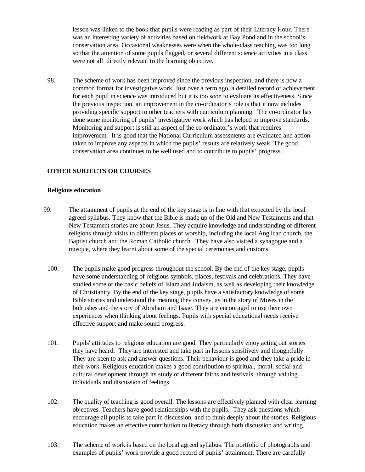lesson was linked to the book that pupils were reading as part of their Literacy Hour. There was an interesting variety of activities based on fieldwork at Bay Pond and in the school's conservation area. Occasional weaknesses were when the whole-class teaching was too long so that the attention of some pupils flagged, or several different science activities in a class were not all directly relevant to the learning objective.

98. The scheme of work has been improved since the previous inspection, and there is now a common format for investigative work. Just over a term ago, a detailed record of achievement for each pupil in science was introduced but it is too soon to evaluate its effectiveness. Since the previous inspection, an improvement in the co-ordinator's role is that it now includes providing specific support to other teachers with curriculum planning. The co-ordinator has done some monitoring of pupils' investigative work which has helped to improve standards. Monitoring and support is still an aspect of the co-ordinator's work that requires improvement. It is good that the National Curriculum assessments are evaluated and action taken to improve any aspects in which the pupils' results are relatively weak. The good conservation area continues to be well used and to contribute to pupils' progress.

# **OTHER SUBJECTS OR COURSES**

#### **Religious education**

- 99. The attainment of pupils at the end of the key stage is in line with that expected by the local agreed syllabus. They know that the Bible is made up of the Old and New Testaments and that New Testament stories are about Jesus. They acquire knowledge and understanding of different religions through visits to different places of worship, including the local Anglican church, the Baptist church and the Roman Catholic church. They have also visited a synagogue and a mosque, where they learnt about some of the special ceremonies and customs.
	- 100. The pupils make good progress throughout the school. By the end of the key stage, pupils have some understanding of religious symbols, places, festivals and celebrations. They have studied some of the basic beliefs of Islam and Judaism, as well as developing their knowledge of Christianity. By the end of the key stage, pupils have a satisfactory knowledge of some Bible stories and understand the meaning they convey, as in the story of Moses in the bulrushes and the story of Abraham and Isaac. They are encouraged to use their own experiences when thinking about feelings. Pupils with special educational needs receive effective support and make sound progress.
	- 101. Pupils' attitudes to religious education are good. They particularly enjoy acting out stories they have heard. They are interested and take part in lessons sensitively and thoughtfully. They are keen to ask and answer questions. Their behaviour is good and they take a pride in their work. Religious education makes a good contribution to spiritual, moral, social and cultural development through its study of different faiths and festivals, through valuing individuals and discussion of feelings.
	- 102. The quality of teaching is good overall. The lessons are effectively planned with clear learning objectives. Teachers have good relationships with the pupils. They ask questions which encourage all pupils to take part in discussion, and to think deeply about the stories. Religious education makes an effective contribution to literacy through both discussion and writing.
	- 103. The scheme of work is based on the local agreed syllabus. The portfolio of photographs and examples of pupils' work provide a good record of pupils' attainment. There are carefully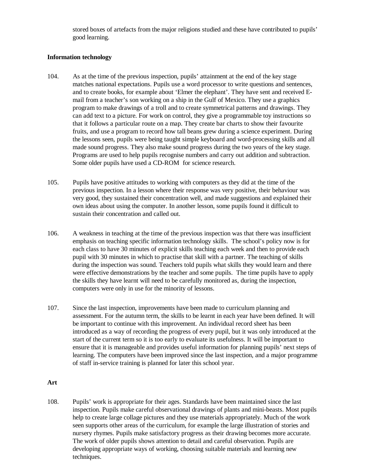stored boxes of artefacts from the major religions studied and these have contributed to pupils' good learning.

#### **Information technology**

- 104. As at the time of the previous inspection, pupils' attainment at the end of the key stage matches national expectations. Pupils use a word processor to write questions and sentences, and to create books, for example about 'Elmer the elephant'. They have sent and received Email from a teacher's son working on a ship in the Gulf of Mexico. They use a graphics program to make drawings of a troll and to create symmetrical patterns and drawings. They can add text to a picture. For work on control, they give a programmable toy instructions so that it follows a particular route on a map. They create bar charts to show their favourite fruits, and use a program to record how tall beans grew during a science experiment. During the lessons seen, pupils were being taught simple keyboard and word-processing skills and all made sound progress. They also make sound progress during the two years of the key stage. Programs are used to help pupils recognise numbers and carry out addition and subtraction. Some older pupils have used a CD-ROM for science research.
- 105. Pupils have positive attitudes to working with computers as they did at the time of the previous inspection. In a lesson where their response was very positive, their behaviour was very good, they sustained their concentration well, and made suggestions and explained their own ideas about using the computer. In another lesson, some pupils found it difficult to sustain their concentration and called out.
- 106. A weakness in teaching at the time of the previous inspection was that there was insufficient emphasis on teaching specific information technology skills. The school's policy now is for each class to have 30 minutes of explicit skills teaching each week and then to provide each pupil with 30 minutes in which to practise that skill with a partner. The teaching of skills during the inspection was sound. Teachers told pupils what skills they would learn and there were effective demonstrations by the teacher and some pupils. The time pupils have to apply the skills they have learnt will need to be carefully monitored as, during the inspection, computers were only in use for the minority of lessons.
- 107. Since the last inspection, improvements have been made to curriculum planning and assessment. For the autumn term, the skills to be learnt in each year have been defined. It will be important to continue with this improvement. An individual record sheet has been introduced as a way of recording the progress of every pupil, but it was only introduced at the start of the current term so it is too early to evaluate its usefulness. It will be important to ensure that it is manageable and provides useful information for planning pupils' next steps of learning. The computers have been improved since the last inspection, and a major programme of staff in-service training is planned for later this school year.

# **Art**

108. Pupils' work is appropriate for their ages. Standards have been maintained since the last inspection. Pupils make careful observational drawings of plants and mini-beasts. Most pupils help to create large collage pictures and they use materials appropriately. Much of the work seen supports other areas of the curriculum, for example the large illustration of stories and nursery rhymes. Pupils make satisfactory progress as their drawing becomes more accurate. The work of older pupils shows attention to detail and careful observation. Pupils are developing appropriate ways of working, choosing suitable materials and learning new techniques.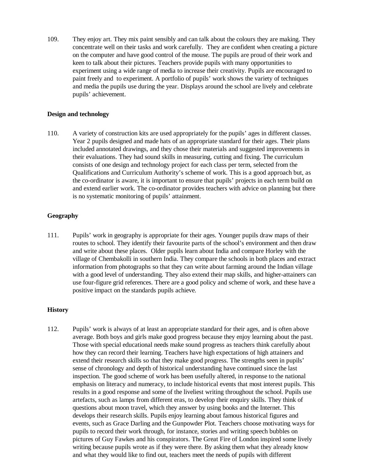109. They enjoy art. They mix paint sensibly and can talk about the colours they are making. They concentrate well on their tasks and work carefully. They are confident when creating a picture on the computer and have good control of the mouse. The pupils are proud of their work and keen to talk about their pictures. Teachers provide pupils with many opportunities to experiment using a wide range of media to increase their creativity. Pupils are encouraged to paint freely and to experiment. A portfolio of pupils' work shows the variety of techniques and media the pupils use during the year. Displays around the school are lively and celebrate pupils' achievement.

#### **Design and technology**

110. A variety of construction kits are used appropriately for the pupils' ages in different classes. Year 2 pupils designed and made hats of an appropriate standard for their ages. Their plans included annotated drawings, and they chose their materials and suggested improvements in their evaluations. They had sound skills in measuring, cutting and fixing. The curriculum consists of one design and technology project for each class per term, selected from the Qualifications and Curriculum Authority's scheme of work. This is a good approach but, as the co-ordinator is aware, it is important to ensure that pupils' projects in each term build on and extend earlier work. The co-ordinator provides teachers with advice on planning but there is no systematic monitoring of pupils' attainment.

# **Geography**

111. Pupils' work in geography is appropriate for their ages. Younger pupils draw maps of their routes to school. They identify their favourite parts of the school's environment and then draw and write about these places. Older pupils learn about India and compare Horley with the village of Chembakolli in southern India. They compare the schools in both places and extract information from photographs so that they can write about farming around the Indian village with a good level of understanding. They also extend their map skills, and higher-attainers can use four-figure grid references. There are a good policy and scheme of work, and these have a positive impact on the standards pupils achieve.

# **History**

112. Pupils' work is always of at least an appropriate standard for their ages, and is often above average. Both boys and girls make good progress because they enjoy learning about the past. Those with special educational needs make sound progress as teachers think carefully about how they can record their learning. Teachers have high expectations of high attainers and extend their research skills so that they make good progress. The strengths seen in pupils' sense of chronology and depth of historical understanding have continued since the last inspection. The good scheme of work has been usefully altered, in response to the national emphasis on literacy and numeracy, to include historical events that most interest pupils. This results in a good response and some of the liveliest writing throughout the school. Pupils use artefacts, such as lamps from different eras, to develop their enquiry skills. They think of questions about moon travel, which they answer by using books and the Internet. This develops their research skills. Pupils enjoy learning about famous historical figures and events, such as Grace Darling and the Gunpowder Plot. Teachers choose motivating ways for pupils to record their work through, for instance, stories and writing speech bubbles on pictures of Guy Fawkes and his conspirators. The Great Fire of London inspired some lively writing because pupils wrote as if they were there. By asking them what they already know and what they would like to find out, teachers meet the needs of pupils with different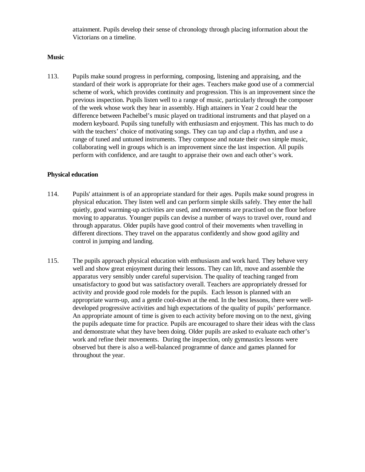attainment. Pupils develop their sense of chronology through placing information about the Victorians on a timeline.

#### **Music**

113. Pupils make sound progress in performing, composing, listening and appraising, and the standard of their work is appropriate for their ages. Teachers make good use of a commercial scheme of work, which provides continuity and progression. This is an improvement since the previous inspection. Pupils listen well to a range of music, particularly through the composer of the week whose work they hear in assembly. High attainers in Year 2 could hear the difference between Pachelbel's music played on traditional instruments and that played on a modern keyboard. Pupils sing tunefully with enthusiasm and enjoyment. This has much to do with the teachers' choice of motivating songs. They can tap and clap a rhythm, and use a range of tuned and untuned instruments. They compose and notate their own simple music, collaborating well in groups which is an improvement since the last inspection. All pupils perform with confidence, and are taught to appraise their own and each other's work.

#### **Physical education**

- 114. Pupils' attainment is of an appropriate standard for their ages. Pupils make sound progress in physical education. They listen well and can perform simple skills safely. They enter the hall quietly, good warming-up activities are used, and movements are practised on the floor before moving to apparatus. Younger pupils can devise a number of ways to travel over, round and through apparatus. Older pupils have good control of their movements when travelling in different directions. They travel on the apparatus confidently and show good agility and control in jumping and landing.
- 115. The pupils approach physical education with enthusiasm and work hard. They behave very well and show great enjoyment during their lessons. They can lift, move and assemble the apparatus very sensibly under careful supervision. The quality of teaching ranged from unsatisfactory to good but was satisfactory overall. Teachers are appropriately dressed for activity and provide good role models for the pupils. Each lesson is planned with an appropriate warm-up, and a gentle cool-down at the end. In the best lessons, there were welldeveloped progressive activities and high expectations of the quality of pupils' performance. An appropriate amount of time is given to each activity before moving on to the next, giving the pupils adequate time for practice. Pupils are encouraged to share their ideas with the class and demonstrate what they have been doing. Older pupils are asked to evaluate each other's work and refine their movements. During the inspection, only gymnastics lessons were observed but there is also a well-balanced programme of dance and games planned for throughout the year.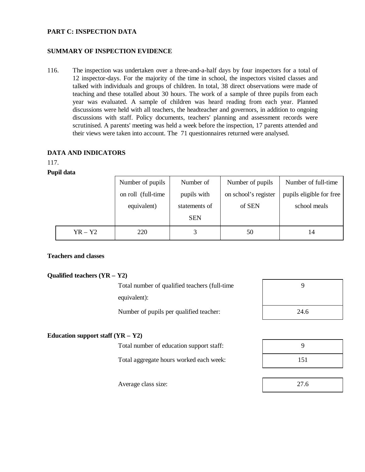## **PART C: INSPECTION DATA**

# **SUMMARY OF INSPECTION EVIDENCE**

116. The inspection was undertaken over a three-and-a-half days by four inspectors for a total of 12 inspector-days. For the majority of the time in school, the inspectors visited classes and talked with individuals and groups of children. In total, 38 direct observations were made of teaching and these totalled about 30 hours. The work of a sample of three pupils from each year was evaluated. A sample of children was heard reading from each year. Planned discussions were held with all teachers, the headteacher and governors, in addition to ongoing discussions with staff. Policy documents, teachers' planning and assessment records were scrutinised. A parents' meeting was held a week before the inspection, 17 parents attended and their views were taken into account. The 71 questionnaires returned were analysed.

#### **DATA AND INDICATORS**

117.

#### **Pupil data**

|           | Number of pupils    | Number of     | Number of pupils     | Number of full-time      |
|-----------|---------------------|---------------|----------------------|--------------------------|
|           | on roll (full-time) | pupils with   | on school's register | pupils eligible for free |
|           | equivalent)         | statements of | of SEN               | school meals             |
|           |                     | <b>SEN</b>    |                      |                          |
| $YR - Y2$ | 220                 |               | 50                   | 14                       |

# **Teachers and classes**

# **Qualified teachers (YR – Y2)**

Total number of qualified teachers (full-time equivalent):

Number of pupils per qualified teacher:

| 9    |  |
|------|--|
|      |  |
| 24.6 |  |

# **Education support staff (YR – Y2)**

Total number of education support staff:

Total aggregate hours worked each week:

| 9   |  |
|-----|--|
| 151 |  |

Average class size: